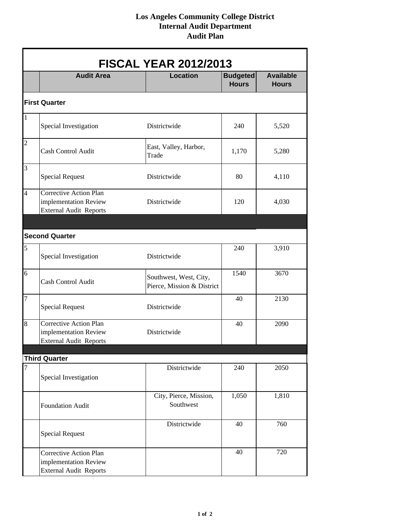## **Los Angeles Community College District Internal Audit Department Audit Plan**

| <b>FISCAL YEAR 2012/2013</b>                     |                                                                                         |                                                      |                                 |                                  |  |  |  |
|--------------------------------------------------|-----------------------------------------------------------------------------------------|------------------------------------------------------|---------------------------------|----------------------------------|--|--|--|
|                                                  | <b>Audit Area</b>                                                                       | <b>Location</b>                                      | <b>Budgeted</b><br><b>Hours</b> | <b>Available</b><br><b>Hours</b> |  |  |  |
| <b>First Quarter</b>                             |                                                                                         |                                                      |                                 |                                  |  |  |  |
| $\mathbf{1}% _{T}\left  \mathbf{1}\right\rangle$ | Special Investigation                                                                   | Districtwide                                         | 240                             | 5,520                            |  |  |  |
| $\overline{c}$                                   | Cash Control Audit                                                                      | East, Valley, Harbor,<br>Trade                       | 1,170                           | 5,280                            |  |  |  |
| $\overline{3}$                                   | <b>Special Request</b>                                                                  | Districtwide                                         | 80                              | 4,110                            |  |  |  |
| $\overline{4}$                                   | Corrective Action Plan<br>implementation Review<br><b>External Audit Reports</b>        | Districtwide                                         | 120                             | 4,030                            |  |  |  |
| <b>Second Quarter</b>                            |                                                                                         |                                                      |                                 |                                  |  |  |  |
| 5                                                | Special Investigation                                                                   | Districtwide                                         | 240                             | 3,910                            |  |  |  |
| 6                                                | <b>Cash Control Audit</b>                                                               | Southwest, West, City,<br>Pierce, Mission & District | 1540                            | 3670                             |  |  |  |
| 7                                                | <b>Special Request</b>                                                                  | Districtwide                                         | 40                              | 2130                             |  |  |  |
| 8                                                | <b>Corrective Action Plan</b><br>implementation Review<br><b>External Audit Reports</b> | Districtwide                                         | 40                              | 2090                             |  |  |  |
| <b>Third Quarter</b>                             |                                                                                         |                                                      |                                 |                                  |  |  |  |
| $\overline{7}$                                   | Special Investigation                                                                   | Districtwide                                         | 240                             | 2050                             |  |  |  |
|                                                  | Foundation Audit                                                                        | City, Pierce, Mission,<br>Southwest                  | 1,050                           | 1,810                            |  |  |  |
|                                                  | <b>Special Request</b>                                                                  | Districtwide                                         | 40                              | 760                              |  |  |  |
|                                                  | Corrective Action Plan<br>implementation Review<br><b>External Audit Reports</b>        |                                                      | 40                              | 720                              |  |  |  |